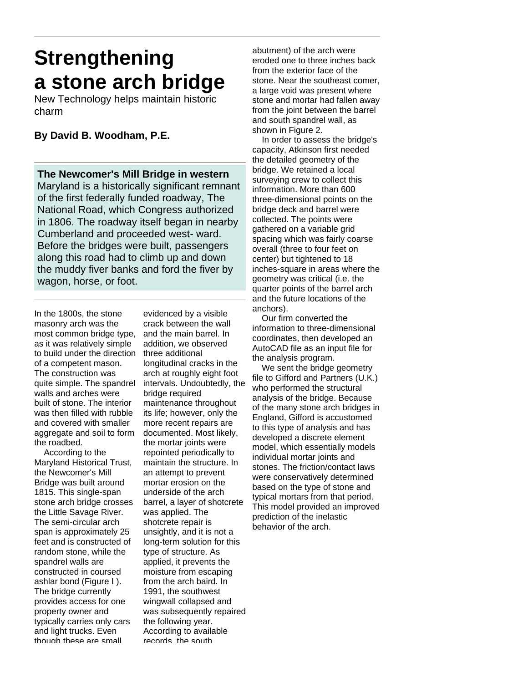# **Strengthening a stone arch bridge**

New Technology helps maintain historic charm

## **By David B. Woodham, P.E.**

**The Newcomer's Mill Bridge in western**  Maryland is a historically significant remnant of the first federally funded roadway, The National Road, which Congress authorized in 1806. The roadway itself began in nearby Cumberland and proceeded west- ward. Before the bridges were built, passengers along this road had to climb up and down the muddy fiver banks and ford the fiver by wagon, horse, or foot.

In the 1800s, the stone masonry arch was the most common bridge type, as it was relatively simple to build under the direction of a competent mason. The construction was quite simple. The spandrel walls and arches were built of stone. The interior was then filled with rubble and covered with smaller aggregate and soil to form the roadbed.

 According to the Maryland Historical Trust, the Newcomer's Mill Bridge was built around 1815. This single-span stone arch bridge crosses the Little Savage River. The semi-circular arch span is approximately 25 feet and is constructed of random stone, while the spandrel walls are constructed in coursed ashlar bond (Figure I ). The bridge currently provides access for one property owner and typically carries only cars and light trucks. Even though these are small

evidenced by a visible crack between the wall and the main barrel. In addition, we observed three additional longitudinal cracks in the arch at roughly eight foot intervals. Undoubtedly, the bridge required maintenance throughout its life; however, only the more recent repairs are documented. Most likely, the mortar joints were repointed periodically to maintain the structure. In an attempt to prevent mortar erosion on the underside of the arch barrel, a layer of shotcrete was applied. The shotcrete repair is unsightly, and it is not a long-term solution for this type of structure. As applied, it prevents the moisture from escaping from the arch baird. In 1991, the southwest wingwall collapsed and was subsequently repaired the following year. According to available records, the south

abutment) of the arch were eroded one to three inches back from the exterior face of the stone. Near the southeast comer, a large void was present where stone and mortar had fallen away from the joint between the barrel and south spandrel wall, as shown in Figure 2.

 In order to assess the bridge's capacity, Atkinson first needed the detailed geometry of the bridge. We retained a local surveying crew to collect this information. More than 600 three-dimensional points on the bridge deck and barrel were collected. The points were gathered on a variable grid spacing which was fairly coarse overall (three to four feet on center) but tightened to 18 inches-square in areas where the geometry was critical (i.e. the quarter points of the barrel arch and the future locations of the anchors).

 Our firm converted the information to three-dimensional coordinates, then developed an AutoCAD file as an input file for the analysis program.

 We sent the bridge geometry file to Gifford and Partners (U.K.) who performed the structural analysis of the bridge. Because of the many stone arch bridges in England, Gifford is accustomed to this type of analysis and has developed a discrete element model, which essentially models individual mortar joints and stones. The friction/contact laws were conservatively determined based on the type of stone and typical mortars from that period. This model provided an improved prediction of the inelastic behavior of the arch.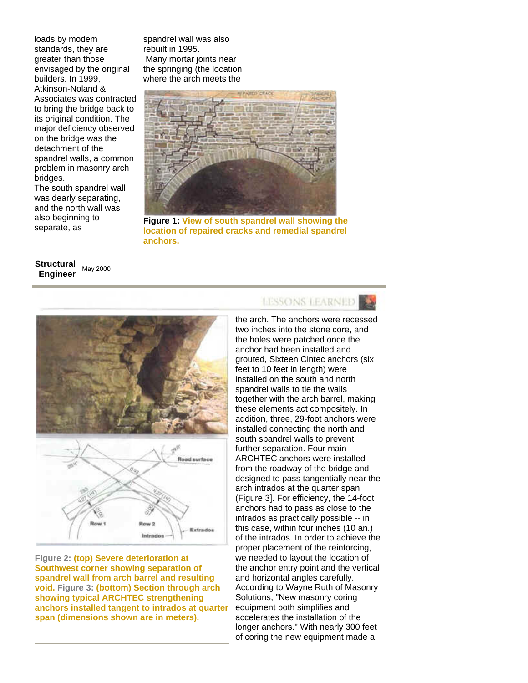loads by modem standards, they are greater than those envisaged by the original builders. In 1999, Atkinson-Noland & Associates was contracted to bring the bridge back to its original condition. The major deficiency observed on the bridge was the detachment of the spandrel walls, a common problem in masonry arch bridges.

The south spandrel wall was dearly separating, and the north wall was also beginning to separate, as

spandrel wall was also rebuilt in 1995. Many mortar joints near the springing (the location where the arch meets the



**Figure 1: View of south spandrel wall showing the location of repaired cracks and remedial spandrel anchors.**

#### **Structural Engineer** May 2000



**Figure 2: (top) Severe deterioration at Southwest corner showing separation of spandrel wall from arch barrel and resulting void. Figure 3: (bottom) Section through arch showing typical ARCHTEC strengthening anchors installed tangent to intrados at quarter span (dimensions shown are in meters).**

# **LESSONS LEARNED**

the arch. The anchors were recessed two inches into the stone core, and the holes were patched once the anchor had been installed and grouted, Sixteen Cintec anchors (six feet to 10 feet in length) were installed on the south and north spandrel walls to tie the walls together with the arch barrel, making these elements act compositely. In addition, three, 29-foot anchors were installed connecting the north and south spandrel walls to prevent further separation. Four main ARCHTEC anchors were installed from the roadway of the bridge and designed to pass tangentially near the arch intrados at the quarter span (Figure 3]. For efficiency, the 14-foot anchors had to pass as close to the intrados as practically possible -- in this case, within four inches (10 an.) of the intrados. In order to achieve the proper placement of the reinforcing, we needed to layout the location of the anchor entry point and the vertical and horizontal angles carefully. According to Wayne Ruth of Masonry Solutions, "New masonry coring equipment both simplifies and accelerates the installation of the longer anchors." With nearly 300 feet of coring the new equipment made a